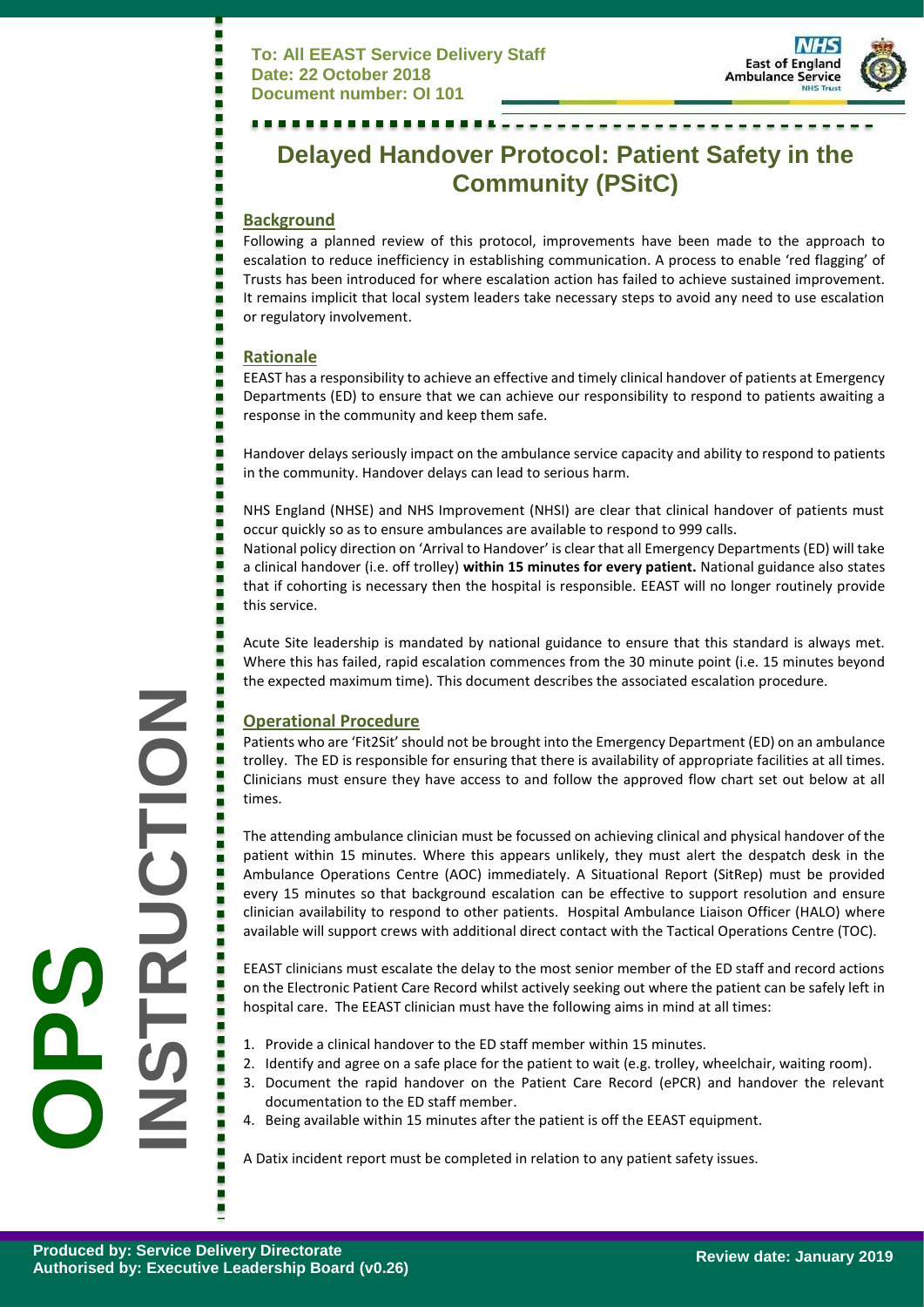

# **Delayed Handover Protocol: Patient Safety in the Community (PSitC)**

#### **Background**

Following a planned review of this protocol, improvements have been made to the approach to escalation to reduce inefficiency in establishing communication. A process to enable 'red flagging' of Trusts has been introduced for where escalation action has failed to achieve sustained improvement. It remains implicit that local system leaders take necessary steps to avoid any need to use escalation or regulatory involvement.

#### **Rationale**

Е

EEAST has a responsibility to achieve an effective and timely clinical handover of patients at Emergency Departments (ED) to ensure that we can achieve our responsibility to respond to patients awaiting a response in the community and keep them safe.

Handover delays seriously impact on the ambulance service capacity and ability to respond to patients in the community. Handover delays can lead to serious harm.

NHS England (NHSE) and NHS Improvement (NHSI) are clear that clinical handover of patients must occur quickly so as to ensure ambulances are available to respond to 999 calls.

National policy direction on 'Arrival to Handover' is clear that all Emergency Departments (ED) will take a clinical handover (i.e. off trolley) **within 15 minutes for every patient.** National guidance also states that if cohorting is necessary then the hospital is responsible. EEAST will no longer routinely provide this service.

Acute Site leadership is mandated by national guidance to ensure that this standard is always met. Where this has failed, rapid escalation commences from the 30 minute point (i.e. 15 minutes beyond the expected maximum time). This document describes the associated escalation procedure.

# **Operational Procedure**

Patients who are 'Fit2Sit' should not be brought into the Emergency Department (ED) on an ambulance trolley. The ED is responsible for ensuring that there is availability of appropriate facilities at all times. Clinicians must ensure they have access to and follow the approved flow chart set out below at all times.

The attending ambulance clinician must be focussed on achieving clinical and physical handover of the patient within 15 minutes. Where this appears unlikely, they must alert the despatch desk in the Ambulance Operations Centre (AOC) immediately. A Situational Report (SitRep) must be provided every 15 minutes so that background escalation can be effective to support resolution and ensure clinician availability to respond to other patients. Hospital Ambulance Liaison Officer (HALO) where available will support crews with additional direct contact with the Tactical Operations Centre (TOC).

EEAST clinicians must escalate the delay to the most senior member of the ED staff and record actions on the Electronic Patient Care Record whilst actively seeking out where the patient can be safely left in hospital care. The EEAST clinician must have the following aims in mind at all times:

- 1. Provide a clinical handover to the ED staff member within 15 minutes.
- 2. Identify and agree on a safe place for the patient to wait (e.g. trolley, wheelchair, waiting room).
- 3. Document the rapid handover on the Patient Care Record (ePCR) and handover the relevant documentation to the ED staff member.
- 4. Being available within 15 minutes after the patient is off the EEAST equipment.

A Datix incident report must be completed in relation to any patient safety issues.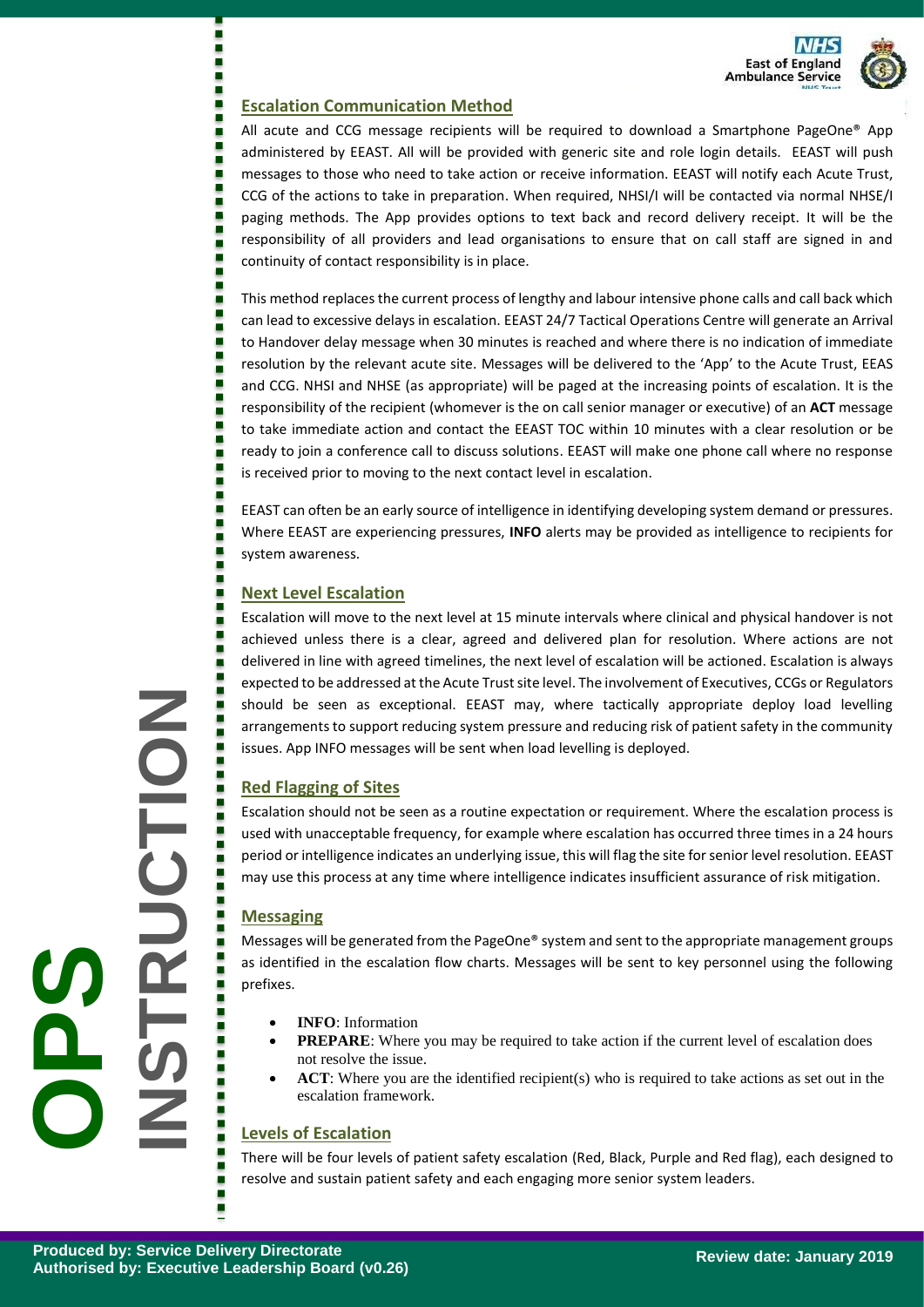

# **Escalation Communication Method**

All acute and CCG message recipients will be required to download a Smartphone PageOne® App administered by EEAST. All will be provided with generic site and role login details. EEAST will push messages to those who need to take action or receive information. EEAST will notify each Acute Trust, CCG of the actions to take in preparation. When required, NHSI/I will be contacted via normal NHSE/I paging methods. The App provides options to text back and record delivery receipt. It will be the responsibility of all providers and lead organisations to ensure that on call staff are signed in and continuity of contact responsibility is in place.

This method replacesthe current process of lengthy and labour intensive phone calls and call back which can lead to excessive delays in escalation. EEAST 24/7 Tactical Operations Centre will generate an Arrival to Handover delay message when 30 minutes is reached and where there is no indication of immediate resolution by the relevant acute site. Messages will be delivered to the 'App' to the Acute Trust, EEAS and CCG. NHSI and NHSE (as appropriate) will be paged at the increasing points of escalation. It is the responsibility of the recipient (whomever is the on call senior manager or executive) of an **ACT** message to take immediate action and contact the EEAST TOC within 10 minutes with a clear resolution or be ready to join a conference call to discuss solutions. EEAST will make one phone call where no response is received prior to moving to the next contact level in escalation.

EEAST can often be an early source of intelligence in identifying developing system demand or pressures. Where EEAST are experiencing pressures, **INFO** alerts may be provided as intelligence to recipients for system awareness.

# **Next Level Escalation**

п ٠

٠

Escalation will move to the next level at 15 minute intervals where clinical and physical handover is not achieved unless there is a clear, agreed and delivered plan for resolution. Where actions are not delivered in line with agreed timelines, the next level of escalation will be actioned. Escalation is always expected to be addressed at the Acute Trust site level. The involvement of Executives, CCGs or Regulators should be seen as exceptional. EEAST may, where tactically appropriate deploy load levelling arrangements to support reducing system pressure and reducing risk of patient safety in the community issues. App INFO messages will be sent when load levelling is deployed.

# **Red Flagging of Sites**

Escalation should not be seen as a routine expectation or requirement. Where the escalation process is used with unacceptable frequency, for example where escalation has occurred three times in a 24 hours period or intelligence indicates an underlying issue, this will flag the site for senior level resolution. EEAST may use this process at any time where intelligence indicates insufficient assurance of risk mitigation.

# **Messaging**

Messages will be generated from the PageOne® system and sent to the appropriate management groups as identified in the escalation flow charts. Messages will be sent to key personnel using the following prefixes.

- **INFO**: Information
- **PREPARE:** Where you may be required to take action if the current level of escalation does not resolve the issue.
- **ACT**: Where you are the identified recipient(s) who is required to take actions as set out in the escalation framework.

# **Levels of Escalation**

There will be four levels of patient safety escalation (Red, Black, Purple and Red flag), each designed to resolve and sustain patient safety and each engaging more senior system leaders.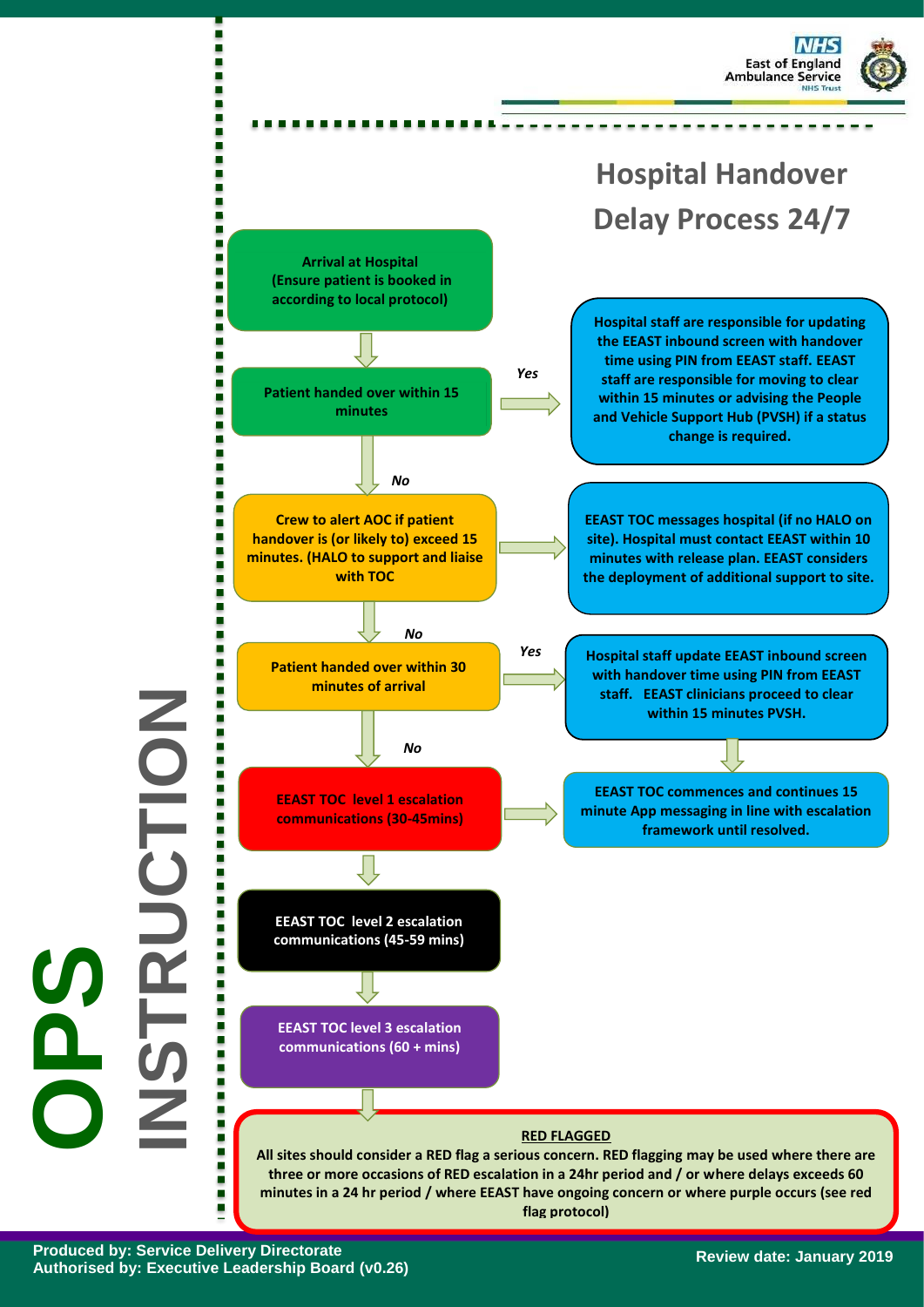



**flag protocol)**

**Produced by: Service Delivery Directorate Authorised by: Executive Leadership Board (v0.26)**

**OPS**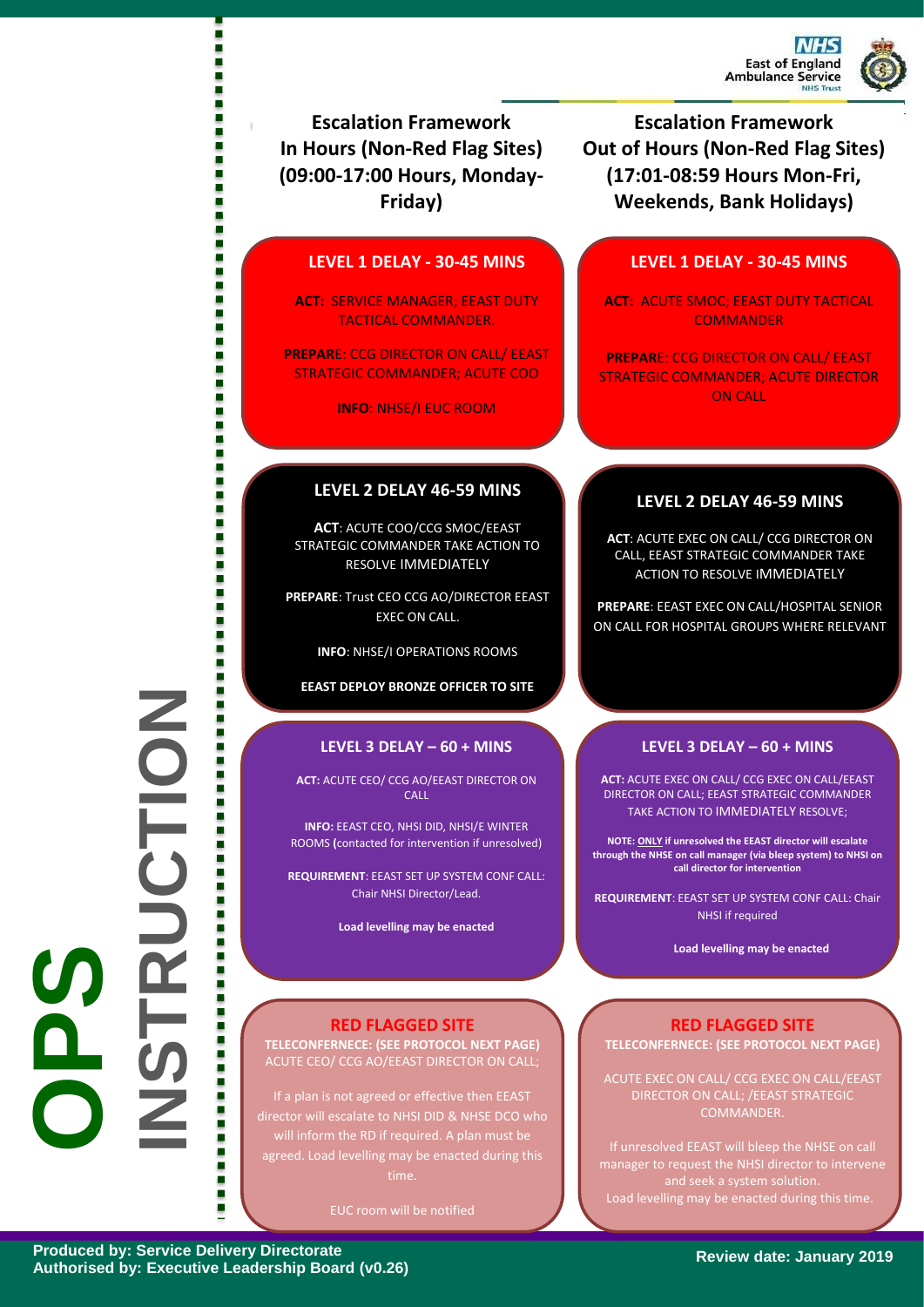

**Escalation Framework In Hours (Non-Red Flag Sites) (09:00-17:00 Hours, Monday-Friday)**

 $\overline{\phantom{a}}$ 

г Г ٠ ٠ i ٠ ٠ i

i š ē ٠ ٥ i ٠ ٠ š ē ٠ **LEVEL 1 DELAY - 30-45 MINS**

**ACT:** SERVICE MANAGER; EEAST DUTY TACTICAL COMMANDER.

**PREPAR**E: CCG DIRECTOR ON CALL/ EEAST STRATEGIC COMMANDER; ACUTE COO

**INFO**: NHSE/I EUC ROOM

#### **LEVEL 2 DELAY 46-59 MINS**

**ACT**: ACUTE COO/CCG SMOC/EEAST STRATEGIC COMMANDER TAKE ACTION TO RESOLVE IMMEDIATELY

**PREPARE**: Trust CEO CCG AO/DIRECTOR EEAST EXEC ON CALL.

**INFO**: NHSE/I OPERATIONS ROOMS

**EEAST DEPLOY BRONZE OFFICER TO SITE**

#### **LEVEL 3 DELAY – 60 + MINS**

**ACT:** ACUTE CEO/ CCG AO/EEAST DIRECTOR ON **CALL** 

**INFO:** EEAST CEO, NHSI DID, NHSI/E WINTER ROOMS **(**contacted for intervention if unresolved)

**REQUIREMENT**: EEAST SET UP SYSTEM CONF CALL: Chair NHSI Director/Lead.

**Load levelling may be enacted** 

## **RED FLAGGED SITE**

**TELECONFERNECE: (SEE PROTOCOL NEXT PAGE)** ACUTE CEO/ CCG AO/EEAST DIRECTOR ON CALL;

If a plan is not agreed or effective then EEAST agreed. Load levelling may be enacted during this

**Escalation Framework Out of Hours (Non-Red Flag Sites) (17:01-08:59 Hours Mon-Fri, Weekends, Bank Holidays)**

# **LEVEL 1 DELAY - 30-45 MINS**

**ACT:** ACUTE SMOC; EEAST DUTY TACTICAL **COMMANDER** 

**PREPAR**E: CCG DIRECTOR ON CALL/ EEAST STRATEGIC COMMANDER; ACUTE DIRECTOR ON CALL

## **LEVEL 2 DELAY 46-59 MINS**

**ACT**: ACUTE EXEC ON CALL/ CCG DIRECTOR ON CALL, EEAST STRATEGIC COMMANDER TAKE ACTION TO RESOLVE IMMEDIATELY

**PREPARE**: EEAST EXEC ON CALL/HOSPITAL SENIOR ON CALL FOR HOSPITAL GROUPS WHERE RELEVANT

#### **LEVEL 3 DELAY – 60 + MINS**

**ACT:** ACUTE EXEC ON CALL/ CCG EXEC ON CALL/EEAST DIRECTOR ON CALL; EEAST STRATEGIC COMMANDER TAKE ACTION TO IMMEDIATELY RESOLVE;

**NOTE: ONLY if unresolved the EEAST director will escalate through the NHSE on call manager (via bleep system) to NHSI on call director for intervention**

**REQUIREMENT**: EEAST SET UP SYSTEM CONF CALL: Chair NHSI if required

**Load levelling may be enacted** 

#### **RED FLAGGED SITE TELECONFERNECE: (SEE PROTOCOL NEXT PAGE)**

DIRECTOR ON CALL; /EEAST STRATEGIC COMMANDER.

If unresolved EEAST will bleep the NHSE on call manager to request the NHSI director to intervene and seek a system solution. Load levelling may be enacted during this time.

ē

**OPS**<br>OPS

**INSTRUCTION**

**Review date: January 2019**